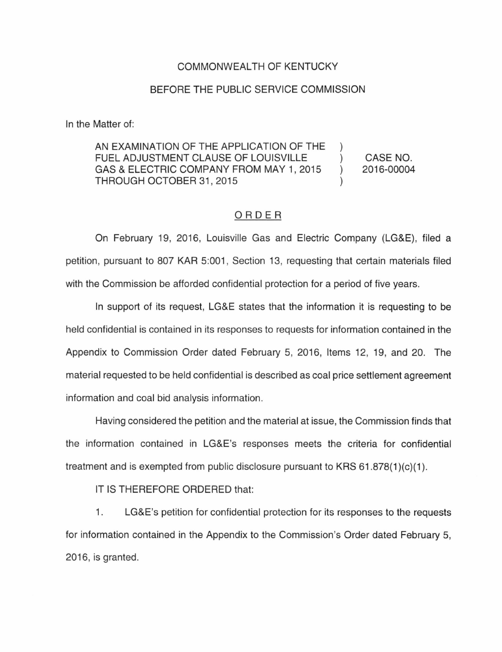## COMMONWEALTH OF KENTUCKY

## BEFORE THE PUBLIC SERVICE COMMISSION

In the Matter of:

AN EXAMINATION OF THE APPLICATION OF THE FUEL ADJUSTMENT CLAUSE OF LOUISVILLE GAS & ELECTRIC COMPANY FROM MAY 1, 2015  $\lambda$ THROUGH OCTOBER 31, 2015

CASE NO. 2016-00004

## ORDER

On February 19, 2016, Louisville Gas and Electric Company (LG&E), filed a petition, pursuant to 807 KAR 5:001, Section 13, requesting that certain materials filed with the Commission be afforded confidential protection for a period of five years.

In support of its request, LG&E states that the information it is requesting to be held confidential is contained in its responses to requests for information contained in the Appendix to Commission Order dated February 5, 2016, Items 12, 19, and 20. The material requested to be held confidential is described as coal price settlement agreement information and coal bid analysis information.

Having considered the petition and the material at issue, the Commission finds that the information contained in LG&E's responses meets the criteria for confidential treatment and is exempted from public disclosure pursuant to KRS  $61.878(1)(c)(1)$ .

IT IS THEREFORE ORDERED that:

1. LG&E's petition for confidential protection for its responses to the requests for information contained in the Appendix to the Commission's Order dated February 5, 2016, is granted.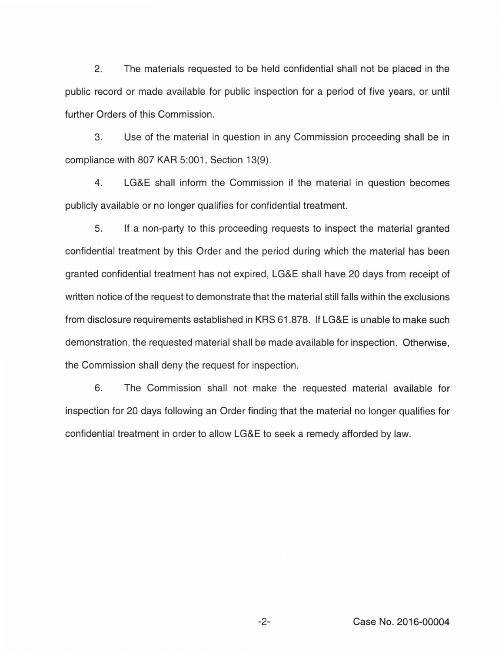2. The materials requested to be held confidential shall not be placed in the public record or made available for public inspection for a period of five years, or until further Orders of this Commission.

3. Use of the material in question in any Commission proceeding shall be in compliance with 807 KAR 5:001, Section 13(9).

4. LG&E shall inform the Commission if the material in question becomes publicly available or no longer qualifies for confidential treatment.

5. If a non-party to this proceeding requests to inspect the material granted confidential treatment by this Order and the period during which the material has been granted confidential treatment has not expired, LG&E shall have 20 days from receipt of written notice of the request to demonstrate that the material still falls within the exclusions from disclosure requirements established in KRS 61.878. If LG&E is unable to make such demonstration, the requested material shall be made available for inspection. Otherwise, the Commission shall deny the request for inspection.

6. The Commission shall not make the requested material available for inspection for 20 days following an Order finding that the material no longer qualifies for confidential treatment in order to allow LG&E to seek a remedy afforded by law.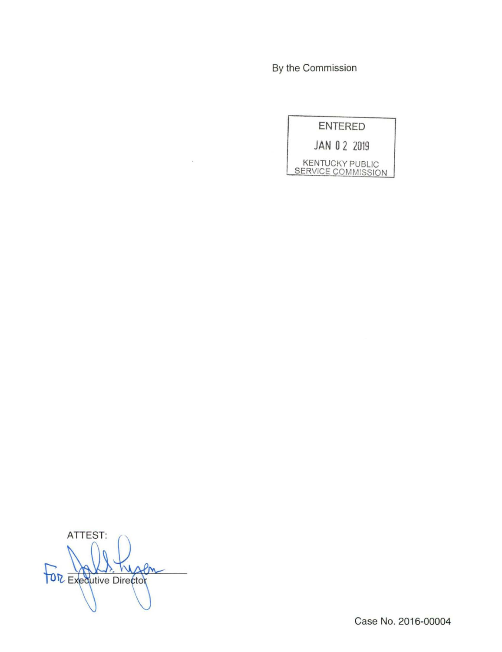By the Commission

ENTERED **JAN 0** 2 2019 KENTUCKY PUBLIC SERVICE COMMISSION

ATTEST: M Pm **TOR Executive Director** 

Case No. 2016-00004